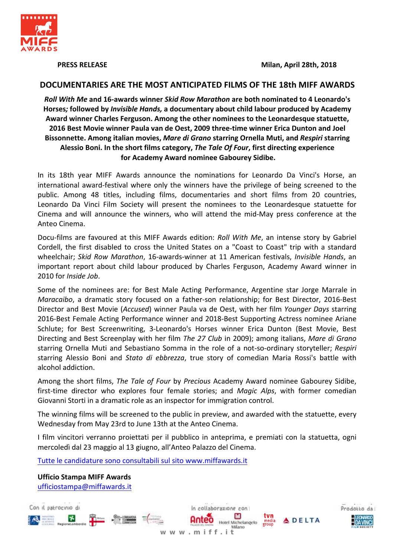

**PRESS RELEASE** 

# DOCUMENTARIES ARE THE MOST ANTICIPATED FILMS OF THE 18th MIFF AWARDS

Roll With Me and 16-awards winner Skid Row Marathon are both nominated to 4 Leonardo's Horses; followed by Invisible Hands, a documentary about child labour produced by Academy Award winner Charles Ferguson. Among the other nominees to the Leonardesque statuette, 2016 Best Movie winner Paula van de Oest, 2009 three-time winner Erica Dunton and Joel Bissonnette. Among italian movies, Mare di Grano starring Ornella Muti, and Respiri starring Alessio Boni. In the short films category, The Tale Of Four, first directing experience for Academy Award nominee Gabourey Sidibe.

In its 18th year MIFF Awards announce the nominations for Leonardo Da Vinci's Horse, an international award-festival where only the winners have the privilege of being screened to the public. Among 48 titles, including films, documentaries and short films from 20 countries, Leonardo Da Vinci Film Society will present the nominees to the Leonardesque statuette for Cinema and will announce the winners, who will attend the mid-May press conference at the Anteo Cinema.

Docu-films are favoured at this MIFF Awards edition: Roll With Me, an intense story by Gabriel Cordell, the first disabled to cross the United States on a "Coast to Coast" trip with a standard wheelchair; Skid Row Marathon, 16-awards-winner at 11 American festivals, Invisible Hands, an important report about child labour produced by Charles Ferguson, Academy Award winner in 2010 for Inside Job.

Some of the nominees are: for Best Male Acting Performance, Argentine star Jorge Marrale in Maracaibo, a dramatic story focused on a father-son relationship; for Best Director, 2016-Best Director and Best Movie (Accused) winner Paula va de Oest, with her film Younger Days starring 2016-Best Female Acting Performance winner and 2018-Best Supporting Actress nominee Ariane Schlute; for Best Screenwriting, 3-Leonardo's Horses winner Erica Dunton (Best Movie, Best Directing and Best Screenplay with her film The 27 Club in 2009); among italians, Mare di Grano starring Ornella Muti and Sebastiano Somma in the role of a not-so-ordinary storyteller; Respiri starring Alessio Boni and Stato di ebbrezza, true story of comedian Maria Rossi's battle with alcohol addiction.

Among the short films, The Tale of Four by Precious Academy Award nominee Gabourey Sidibe, first-time director who explores four female stories; and Magic Alps, with former comedian Giovanni Storti in a dramatic role as an inspector for immigration control.

The winning films will be screened to the public in preview, and awarded with the statuette, every Wednesday from May 23rd to June 13th at the Anteo Cinema.

I film vincitori verranno proiettati per il pubblico in anteprima, e premiati con la statuetta, ogni mercoledì dal 23 maggio al 13 giugno, all'Anteo Palazzo del Cinema.

www.miff.it

In collaborazione con

 $\blacksquare$ 

Hotel Michelangelo

Milano

tvn

media<br>group

**ADELTA** 

Tutte le candidature sono consultabili sul sito www.miffawards.it

**Ufficio Stampa MIFF Awards** ufficiostampa@miffawards.it

Con il patrocinio di

不

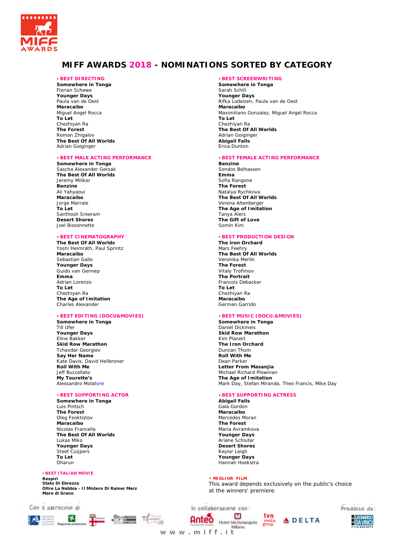

# **MIFF AWARDS 2018 - NOMINATIONS SORTED BY CATEGORY**

### -**BEST DIRECTING**

**Somewhere in Tonga**  Florian Schewe **Younger Days**  Paula van de Oest **Maracaibo**  Miguel Angel Rocca **To Let**  Chezhiyan Ra **The Forest**  Roman Zhigalov **The Best Of All Worlds**  Adrian Goiginger

#### -**BEST MALE ACTING PERFORMANCE**

**Somewhere in Tonga**  Sascha Alexander Gersak **The Best Of All Worlds**  Jeremy Miliker **Benzine**  Ali Yahyaoui **Maracaibo**  Jorge Marrale **To Let**  Santhosh Sreeram **Desert Shores**  Joel Bissonnette

### -**BEST CINEMATOGRAPHY**

**The Best Of All Worlds**  Yoshi Heimrath, Paul Sprintz **Maracaibo**  Sebastian Gallo **Younger Days**  Guido van Gennep **Emma**  Adrian Lorenzo **To Let**  Chezhiyan Ra **The Age of Imitation**  Charles Alexander

### -**BEST EDITING (DOCU&MOVIES)**

**Somewhere in Tonga**  Till Ufer **Younger Days**  Eline Bakker **Skid Row Marathon**  Tchavdar Georgiev **Say Her Name**  Kate Davis, David Heilbroner **Roll With Me**  Jeff Buccellato **My Tourette's**  Alessandro Molatore

### -**BEST SUPPORTING ACTOR**

**Somewhere in Tonga**  Luis Pintsch **The Forest**  Oleg Feoktistov **Maracaibo**  Nicolas Francella **The Best Of All Worlds**  Lukas Miko **Younger Days**  Steef Cuijpers **To Let**  Dharun

#### -**BEST ITALIAN MOVIE**

**Respiri Stato Di Ebrezza Oltre La Nebbia - Il Mistero Di Rainer Merz Mare di Grano** 



#### -**BEST SCREENWRITING**

**Somewhere in Tonga**  Sarah Schill **Younger Days**  Rifka Lodeizen, Paula van de Oest **Maracaibo**  Maximiliano Gonzalez, Miguel Angel Rocca **To Let**  Chezhiyan Ra **The Best Of All Worlds**  Adrian Goiginger **Abigail Falls**  Erica Dunton

#### -**BEST FEMALE ACTING PERFORMANCE**

**Benzine**  Sondos Belhassen **Emma**  Sofia Rangone **The Forest**  Natalya Rychkova **The Best Of All Worlds**  Verena Altenberger **The Age of Imitation**  Tanya Alers **The Gift of Love**  Somin Kim

#### -**BEST PRODUCTION DESIGN**

**The iron Orchard**  Mars Feehry **The Best Of All Worlds**  Veronika Merlin **The Forest**  Vitaly Trofimov **The Portrait**  Francois Debacker **To Let**  Chezhiyan Ra **Maracaibo**  German Garrido

#### -**BEST MUSIC (DOCU.&MOVIES)**

**Somewhere in Tonga**  Daniel Dickmeis **Skid Row Marathon**  Kim Planert **The Iron Orchard**  Duncan Thum **Roll With Me**  Dean Parker **Letter From Masanjia**  Michael Richard Plowman **The Age of Imitation**  Mark Day, Stefan Miranda, Theo Francis, Mike Day

#### -**BEST SUPPORTING ACTRESS**

**Abigail Falls**  Gala Gordon **Maracaibo**  Mercedes Moran **The Forest**  Maria Avramkova **Younger Days**  Ariane Schluter **Desert Shores**  Keylor Leigh **Younger Days**  Hannah Hoekstra

### **• MIGLIOR FILM**

This award depends exclusively on the public's choice at the winners' premiere.







**w w w . m i f f . i t**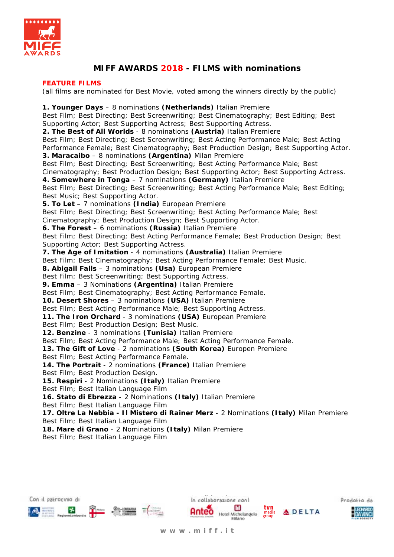

# **MIFF AWARDS 2018 - FILMS with nominations**

# **FEATURE FILMS**

(all films are nominated for Best Movie, voted among the winners directly by the public)

**1. Younger Days** – 8 nominations **(Netherlands)** Italian Premiere Best Film; Best Directing; Best Screenwriting; Best Cinematography; Best Editing; Best Supporting Actor; Best Supporting Actress; Best Supporting Actress. **2. The Best of All Worlds** - 8 nominations **(Austria)** Italian Premiere Best Film; Best Directing; Best Screenwriting; Best Acting Performance Male; Best Acting Performance Female; Best Cinematography; Best Production Design; Best Supporting Actor. **3. Maracaibo** – 8 nominations **(Argentina)** Milan Premiere Best Film; Best Directing; Best Screenwriting; Best Acting Performance Male; Best Cinematography; Best Production Design; Best Supporting Actor; Best Supporting Actress. **4. Somewhere in Tonga** – 7 nominations **(Germany)** Italian Premiere Best Film; Best Directing; Best Screenwriting; Best Acting Performance Male; Best Editing; Best Music; Best Supporting Actor. **5. To Let** – 7 nominations **(India)** European Premiere Best Film; Best Directing; Best Screenwriting; Best Acting Performance Male; Best Cinematography; Best Production Design; Best Supporting Actor. **6. The Forest** – 6 nominations **(Russia)** Italian Premiere Best Film; Best Directing; Best Acting Performance Female; Best Production Design; Best Supporting Actor; Best Supporting Actress. **7. The Age of Imitation** - 4 nominations **(Australia)** Italian Premiere Best Film; Best Cinematography; Best Acting Performance Female; Best Music. **8. Abigail Falls** – 3 nominations **(Usa)** European Premiere Best Film; Best Screenwriting; Best Supporting Actress. **9. Emma** – 3 Nominations **(Argentina)** Italian Premiere Best Film; Best Cinematography; Best Acting Performance Female. **10. Desert Shores** – 3 nominations **(USA)** Italian Premiere Best Film; Best Acting Performance Male; Best Supporting Actress. **11. The Iron Orchard** - 3 nominations **(USA)** European Premiere Best Film; Best Production Design; Best Music. **12. Benzine** - 3 nominations **(Tunisia)** Italian Premiere Best Film; Best Acting Performance Male; Best Acting Performance Female. **13. The Gift of Love** - 2 nominations **(South Korea)** Europen Premiere Best Film; Best Acting Performance Female. **14. The Portrait** - 2 nominations **(France)** Italian Premiere Best Film; Best Production Design. **15. Respiri** - 2 Nominations **(Italy)** Italian Premiere Best Film; Best Italian Language Film **16. Stato di Ebrezza** - 2 Nominations **(Italy)** Italian Premiere Best Film; Best Italian Language Film **17. Oltre La Nebbia - Il Mistero di Rainer Merz** - 2 Nominations **(Italy)** Milan Premiere Best Film; Best Italian Language Film **18. Mare di Grano** - 2 Nominations **(Italy)** Milan Premiere Best Film; Best Italian Language Film









**ADELTA**